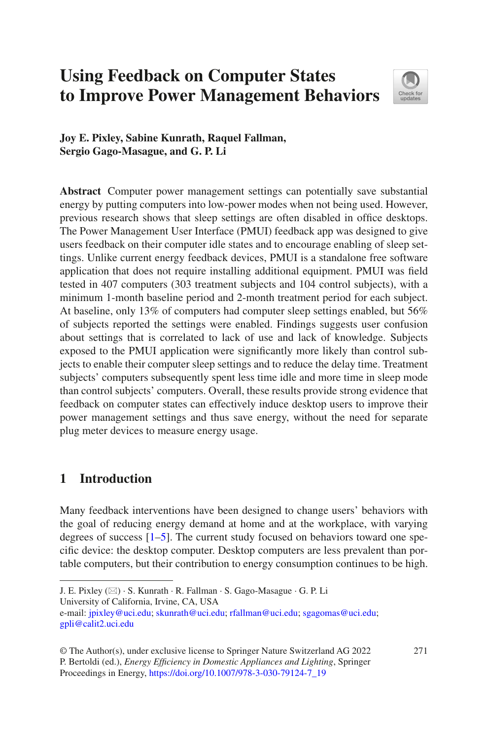# **Using Feedback on Computer States to Improve Power Management Behaviors**



**Joy E. Pixley, Sabine Kunrath, Raquel Fallman, Sergio Gago-Masague, and G. P. Li**

**Abstract** Computer power management settings can potentially save substantial energy by putting computers into low-power modes when not being used. However, previous research shows that sleep settings are often disabled in office desktops. The Power Management User Interface (PMUI) feedback app was designed to give users feedback on their computer idle states and to encourage enabling of sleep settings. Unlike current energy feedback devices, PMUI is a standalone free software application that does not require installing additional equipment. PMUI was feld tested in 407 computers (303 treatment subjects and 104 control subjects), with a minimum 1-month baseline period and 2-month treatment period for each subject. At baseline, only 13% of computers had computer sleep settings enabled, but 56% of subjects reported the settings were enabled. Findings suggests user confusion about settings that is correlated to lack of use and lack of knowledge. Subjects exposed to the PMUI application were signifcantly more likely than control subjects to enable their computer sleep settings and to reduce the delay time. Treatment subjects' computers subsequently spent less time idle and more time in sleep mode than control subjects' computers. Overall, these results provide strong evidence that feedback on computer states can effectively induce desktop users to improve their power management settings and thus save energy, without the need for separate plug meter devices to measure energy usage.

# **1 Introduction**

Many feedback interventions have been designed to change users' behaviors with the goal of reducing energy demand at home and at the workplace, with varying degrees of success [[1–](#page-13-0)[5\]](#page-13-1). The current study focused on behaviors toward one specifc device: the desktop computer. Desktop computers are less prevalent than portable computers, but their contribution to energy consumption continues to be high.

University of California, Irvine, CA, USA

J. E. Pixley (\*) · S. Kunrath · R. Fallman · S. Gago-Masague · G. P. Li

e-mail: [jpixley@uci.edu](mailto:jpixley@uci.edu); [skunrath@uci.edu;](mailto:skunrath@uci.edu) [rfallman@uci.edu](mailto:rfallman@uci.edu); [sgagomas@uci.edu](mailto:sgagomas@uci.edu)[;](mailto:gpli@calit2.uci.edu) [gpli@calit2.uci.edu](mailto:gpli@calit2.uci.edu)

<sup>©</sup> The Author(s), under exclusive license to Springer Nature Switzerland AG 2022 271 P. Bertoldi (ed.), *Energy Effciency in Domestic Appliances and Lighting*, Springer Proceedings in Energy, [https://doi.org/10.1007/978-3-030-79124-7\\_19](https://doi.org/10.1007/978-3-030-79124-7_19#DOI)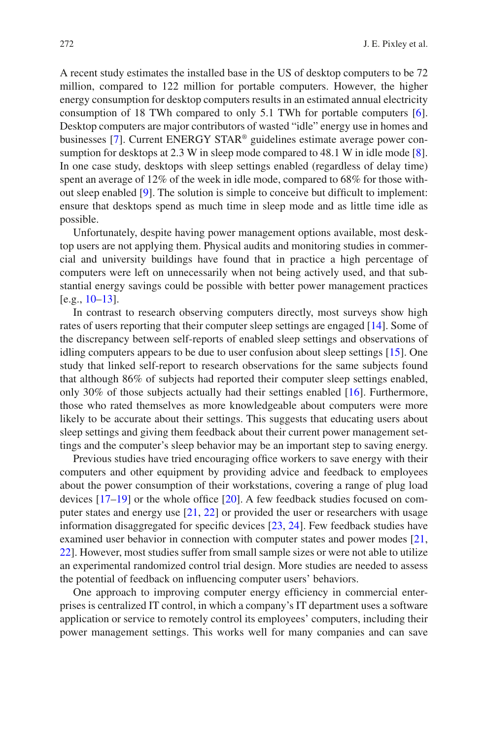A recent study estimates the installed base in the US of desktop computers to be 72 million, compared to 122 million for portable computers. However, the higher energy consumption for desktop computers results in an estimated annual electricity consumption of 18 TWh compared to only 5.1 TWh for portable computers [[6\]](#page-13-2). Desktop computers are major contributors of wasted "idle" energy use in homes and businesses [\[7](#page-14-0)]. Current ENERGY STAR® guidelines estimate average power consumption for desktops at 2.3 W in sleep mode compared to 48.1 W in idle mode [[8\]](#page-14-1). In one case study, desktops with sleep settings enabled (regardless of delay time) spent an average of 12% of the week in idle mode, compared to 68% for those without sleep enabled [[9\]](#page-14-2). The solution is simple to conceive but diffcult to implement: ensure that desktops spend as much time in sleep mode and as little time idle as possible.

Unfortunately, despite having power management options available, most desktop users are not applying them. Physical audits and monitoring studies in commercial and university buildings have found that in practice a high percentage of computers were left on unnecessarily when not being actively used, and that substantial energy savings could be possible with better power management practices [e.g., [10–](#page-14-3)[13\]](#page-14-4).

In contrast to research observing computers directly, most surveys show high rates of users reporting that their computer sleep settings are engaged [\[14](#page-14-5)]. Some of the discrepancy between self-reports of enabled sleep settings and observations of idling computers appears to be due to user confusion about sleep settings [[15\]](#page-14-6). One study that linked self-report to research observations for the same subjects found that although 86% of subjects had reported their computer sleep settings enabled, only 30% of those subjects actually had their settings enabled [[16\]](#page-14-7). Furthermore, those who rated themselves as more knowledgeable about computers were more likely to be accurate about their settings. This suggests that educating users about sleep settings and giving them feedback about their current power management settings and the computer's sleep behavior may be an important step to saving energy.

Previous studies have tried encouraging office workers to save energy with their computers and other equipment by providing advice and feedback to employees about the power consumption of their workstations, covering a range of plug load devices  $[17–19]$  $[17–19]$  $[17–19]$  or the whole office  $[20]$  $[20]$ . A few feedback studies focused on computer states and energy use [\[21](#page-14-11), [22\]](#page-14-12) or provided the user or researchers with usage information disaggregated for specifc devices [[23,](#page-14-13) [24\]](#page-15-0). Few feedback studies have examined user behavior in connection with computer states and power modes [[21,](#page-14-11) [22\]](#page-14-12). However, most studies suffer from small sample sizes or were not able to utilize an experimental randomized control trial design. More studies are needed to assess the potential of feedback on infuencing computer users' behaviors.

One approach to improving computer energy efficiency in commercial enterprises is centralized IT control, in which a company's IT department uses a software application or service to remotely control its employees' computers, including their power management settings. This works well for many companies and can save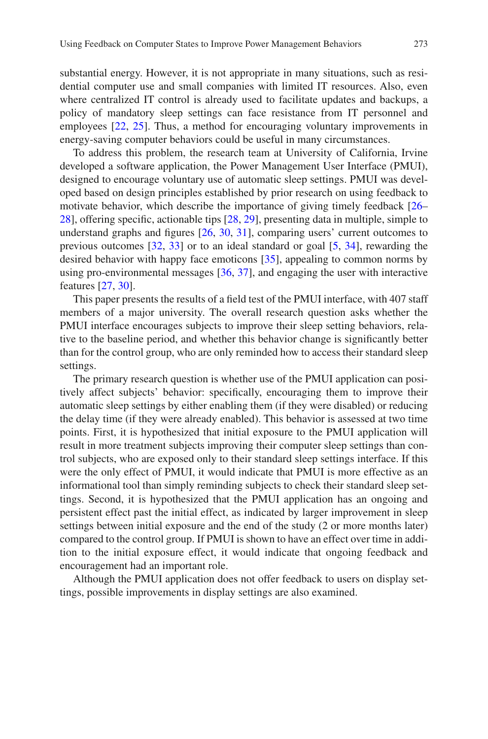substantial energy. However, it is not appropriate in many situations, such as residential computer use and small companies with limited IT resources. Also, even where centralized IT control is already used to facilitate updates and backups, a policy of mandatory sleep settings can face resistance from IT personnel and employees [[22,](#page-14-12) [25\]](#page-15-1). Thus, a method for encouraging voluntary improvements in energy-saving computer behaviors could be useful in many circumstances.

To address this problem, the research team at University of California, Irvine developed a software application, the Power Management User Interface (PMUI), designed to encourage voluntary use of automatic sleep settings. PMUI was developed based on design principles established by prior research on using feedback to motivate behavior, which describe the importance of giving timely feedback [[26–](#page-15-2) [28\]](#page-15-3), offering specifc, actionable tips [[28,](#page-15-3) [29\]](#page-15-4), presenting data in multiple, simple to understand graphs and fgures [[26,](#page-15-2) [30](#page-15-5), [31](#page-15-6)], comparing users' current outcomes to previous outcomes [\[32](#page-15-7), [33](#page-15-8)] or to an ideal standard or goal [[5,](#page-13-1) [34\]](#page-15-9), rewarding the desired behavior with happy face emoticons [\[35](#page-15-10)], appealing to common norms by using pro-environmental messages [[36,](#page-15-11) [37\]](#page-15-12), and engaging the user with interactive features [\[27](#page-15-13), [30](#page-15-5)].

This paper presents the results of a feld test of the PMUI interface, with 407 staff members of a major university. The overall research question asks whether the PMUI interface encourages subjects to improve their sleep setting behaviors, relative to the baseline period, and whether this behavior change is signifcantly better than for the control group, who are only reminded how to access their standard sleep settings.

The primary research question is whether use of the PMUI application can positively affect subjects' behavior: specifcally, encouraging them to improve their automatic sleep settings by either enabling them (if they were disabled) or reducing the delay time (if they were already enabled). This behavior is assessed at two time points. First, it is hypothesized that initial exposure to the PMUI application will result in more treatment subjects improving their computer sleep settings than control subjects, who are exposed only to their standard sleep settings interface. If this were the only effect of PMUI, it would indicate that PMUI is more effective as an informational tool than simply reminding subjects to check their standard sleep settings. Second, it is hypothesized that the PMUI application has an ongoing and persistent effect past the initial effect, as indicated by larger improvement in sleep settings between initial exposure and the end of the study (2 or more months later) compared to the control group. If PMUI is shown to have an effect over time in addition to the initial exposure effect, it would indicate that ongoing feedback and encouragement had an important role.

Although the PMUI application does not offer feedback to users on display settings, possible improvements in display settings are also examined.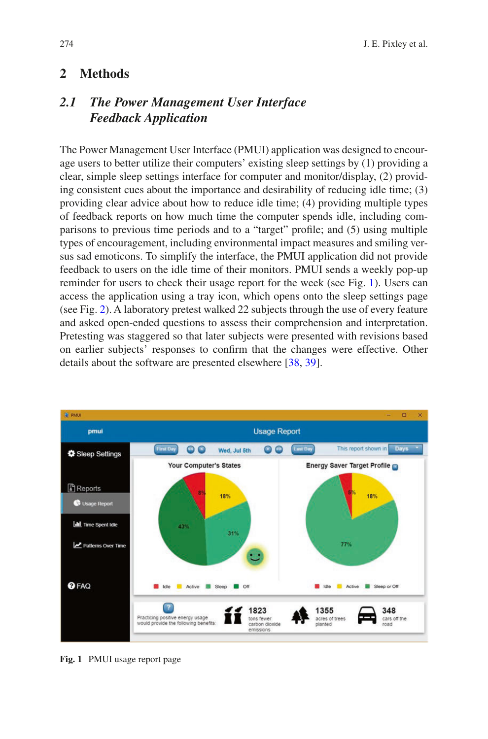### **2 Methods**

## *2.1 The Power Management User Interface Feedback Application*

The Power Management User Interface (PMUI) application was designed to encourage users to better utilize their computers' existing sleep settings by (1) providing a clear, simple sleep settings interface for computer and monitor/display, (2) providing consistent cues about the importance and desirability of reducing idle time; (3) providing clear advice about how to reduce idle time; (4) providing multiple types of feedback reports on how much time the computer spends idle, including comparisons to previous time periods and to a "target" profle; and (5) using multiple types of encouragement, including environmental impact measures and smiling versus sad emoticons. To simplify the interface, the PMUI application did not provide feedback to users on the idle time of their monitors. PMUI sends a weekly pop-up reminder for users to check their usage report for the week (see Fig. [1](#page-3-0)). Users can access the application using a tray icon, which opens onto the sleep settings page (see Fig. [2\)](#page-4-0). A laboratory pretest walked 22 subjects through the use of every feature and asked open-ended questions to assess their comprehension and interpretation. Pretesting was staggered so that later subjects were presented with revisions based on earlier subjects' responses to confrm that the changes were effective. Other details about the software are presented elsewhere [[38,](#page-15-14) [39\]](#page-15-15).

<span id="page-3-0"></span>

**Fig. 1** PMUI usage report page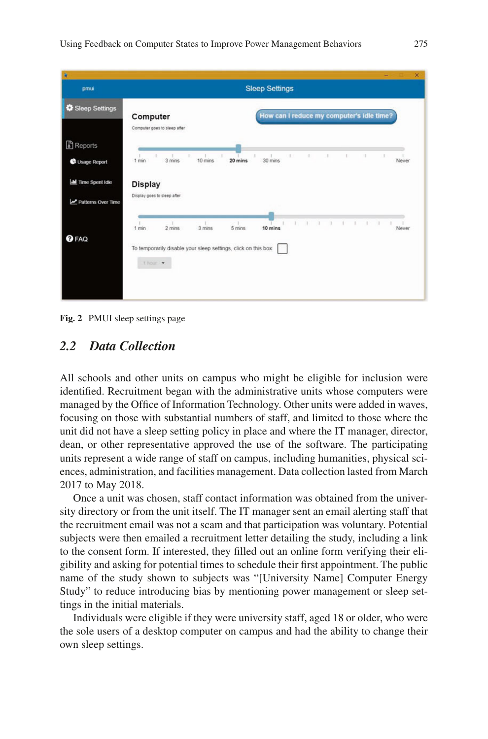<span id="page-4-0"></span>

**Fig. 2** PMUI sleep settings page

#### *2.2 Data Collection*

All schools and other units on campus who might be eligible for inclusion were identifed. Recruitment began with the administrative units whose computers were managed by the Office of Information Technology. Other units were added in waves, focusing on those with substantial numbers of staff, and limited to those where the unit did not have a sleep setting policy in place and where the IT manager, director, dean, or other representative approved the use of the software. The participating units represent a wide range of staff on campus, including humanities, physical sciences, administration, and facilities management. Data collection lasted from March 2017 to May 2018.

Once a unit was chosen, staff contact information was obtained from the university directory or from the unit itself. The IT manager sent an email alerting staff that the recruitment email was not a scam and that participation was voluntary. Potential subjects were then emailed a recruitment letter detailing the study, including a link to the consent form. If interested, they flled out an online form verifying their eligibility and asking for potential times to schedule their frst appointment. The public name of the study shown to subjects was "[University Name] Computer Energy Study" to reduce introducing bias by mentioning power management or sleep settings in the initial materials.

Individuals were eligible if they were university staff, aged 18 or older, who were the sole users of a desktop computer on campus and had the ability to change their own sleep settings.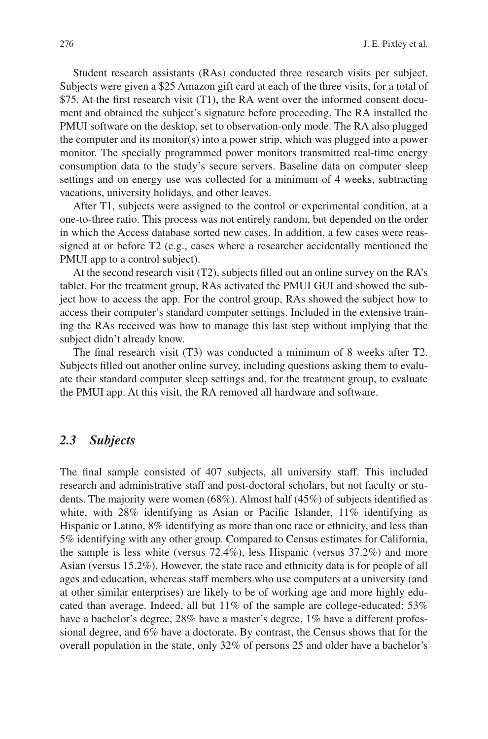Student research assistants (RAs) conducted three research visits per subject. Subjects were given a \$25 Amazon gift card at each of the three visits, for a total of \$75. At the frst research visit (T1), the RA went over the informed consent document and obtained the subject's signature before proceeding. The RA installed the PMUI software on the desktop, set to observation-only mode. The RA also plugged the computer and its monitor(s) into a power strip, which was plugged into a power monitor. The specially programmed power monitors transmitted real-time energy consumption data to the study's secure servers. Baseline data on computer sleep settings and on energy use was collected for a minimum of 4 weeks, subtracting vacations, university holidays, and other leaves.

After T1, subjects were assigned to the control or experimental condition, at a one-to-three ratio. This process was not entirely random, but depended on the order in which the Access database sorted new cases. In addition, a few cases were reassigned at or before T2 (e.g., cases where a researcher accidentally mentioned the PMUI app to a control subject).

At the second research visit (T2), subjects flled out an online survey on the RA's tablet. For the treatment group, RAs activated the PMUI GUI and showed the subject how to access the app. For the control group, RAs showed the subject how to access their computer's standard computer settings. Included in the extensive training the RAs received was how to manage this last step without implying that the subject didn't already know.

The fnal research visit (T3) was conducted a minimum of 8 weeks after T2. Subjects flled out another online survey, including questions asking them to evaluate their standard computer sleep settings and, for the treatment group, to evaluate the PMUI app. At this visit, the RA removed all hardware and software.

#### *2.3 Subjects*

The fnal sample consisted of 407 subjects, all university staff. This included research and administrative staff and post-doctoral scholars, but not faculty or students. The majority were women (68%). Almost half (45%) of subjects identifed as white, with 28% identifying as Asian or Pacifc Islander, 11% identifying as Hispanic or Latino, 8% identifying as more than one race or ethnicity, and less than 5% identifying with any other group. Compared to Census estimates for California, the sample is less white (versus 72.4%), less Hispanic (versus 37.2%) and more Asian (versus 15.2%). However, the state race and ethnicity data is for people of all ages and education, whereas staff members who use computers at a university (and at other similar enterprises) are likely to be of working age and more highly educated than average. Indeed, all but 11% of the sample are college-educated: 53% have a bachelor's degree, 28% have a master's degree, 1% have a different professional degree, and 6% have a doctorate. By contrast, the Census shows that for the overall population in the state, only 32% of persons 25 and older have a bachelor's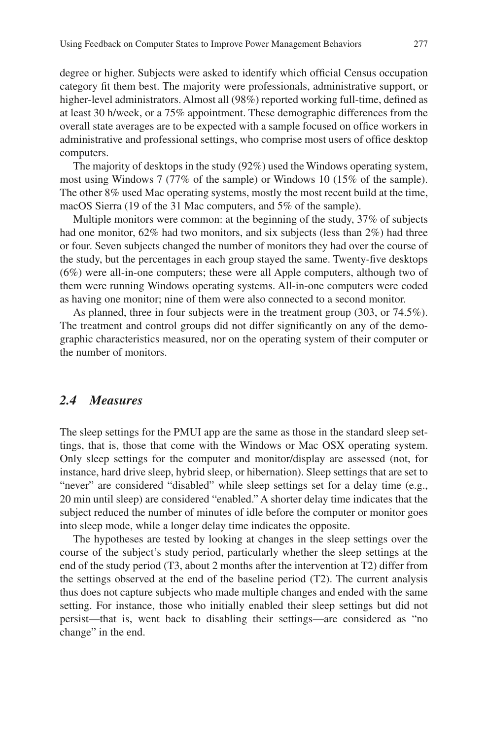degree or higher. Subjects were asked to identify which official Census occupation category ft them best. The majority were professionals, administrative support, or higher-level administrators. Almost all (98%) reported working full-time, defned as at least 30 h/week, or a 75% appointment. These demographic differences from the overall state averages are to be expected with a sample focused on offce workers in administrative and professional settings, who comprise most users of offce desktop computers.

The majority of desktops in the study (92%) used the Windows operating system, most using Windows 7 (77% of the sample) or Windows 10 (15% of the sample). The other 8% used Mac operating systems, mostly the most recent build at the time, macOS Sierra (19 of the 31 Mac computers, and 5% of the sample).

Multiple monitors were common: at the beginning of the study, 37% of subjects had one monitor, 62% had two monitors, and six subjects (less than 2%) had three or four. Seven subjects changed the number of monitors they had over the course of the study, but the percentages in each group stayed the same. Twenty-fve desktops (6%) were all-in-one computers; these were all Apple computers, although two of them were running Windows operating systems. All-in-one computers were coded as having one monitor; nine of them were also connected to a second monitor.

As planned, three in four subjects were in the treatment group (303, or 74.5%). The treatment and control groups did not differ signifcantly on any of the demographic characteristics measured, nor on the operating system of their computer or the number of monitors.

#### *2.4 Measures*

The sleep settings for the PMUI app are the same as those in the standard sleep settings, that is, those that come with the Windows or Mac OSX operating system. Only sleep settings for the computer and monitor/display are assessed (not, for instance, hard drive sleep, hybrid sleep, or hibernation). Sleep settings that are set to "never" are considered "disabled" while sleep settings set for a delay time (e.g., 20 min until sleep) are considered "enabled." A shorter delay time indicates that the subject reduced the number of minutes of idle before the computer or monitor goes into sleep mode, while a longer delay time indicates the opposite.

The hypotheses are tested by looking at changes in the sleep settings over the course of the subject's study period, particularly whether the sleep settings at the end of the study period (T3, about 2 months after the intervention at T2) differ from the settings observed at the end of the baseline period (T2). The current analysis thus does not capture subjects who made multiple changes and ended with the same setting. For instance, those who initially enabled their sleep settings but did not persist—that is, went back to disabling their settings—are considered as "no change" in the end.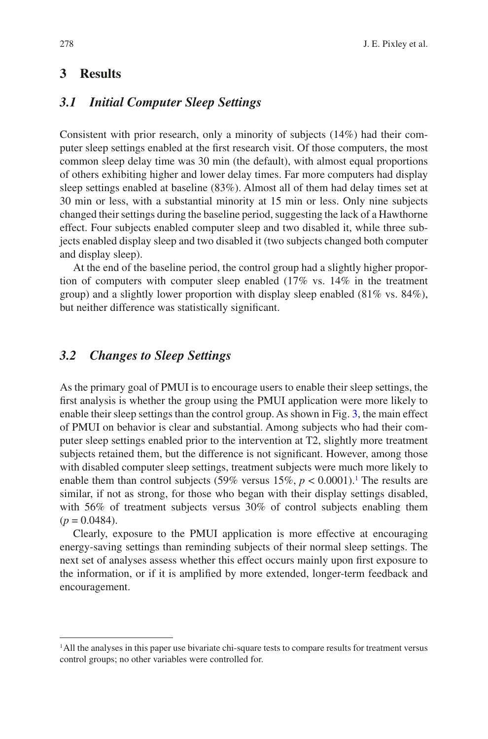## **3 Results**

#### *3.1 Initial Computer Sleep Settings*

Consistent with prior research, only a minority of subjects (14%) had their computer sleep settings enabled at the frst research visit. Of those computers, the most common sleep delay time was 30 min (the default), with almost equal proportions of others exhibiting higher and lower delay times. Far more computers had display sleep settings enabled at baseline (83%). Almost all of them had delay times set at 30 min or less, with a substantial minority at 15 min or less. Only nine subjects changed their settings during the baseline period, suggesting the lack of a Hawthorne effect. Four subjects enabled computer sleep and two disabled it, while three subjects enabled display sleep and two disabled it (two subjects changed both computer and display sleep).

At the end of the baseline period, the control group had a slightly higher proportion of computers with computer sleep enabled (17% vs. 14% in the treatment group) and a slightly lower proportion with display sleep enabled (81% vs. 84%), but neither difference was statistically signifcant.

#### *3.2 Changes to Sleep Settings*

As the primary goal of PMUI is to encourage users to enable their sleep settings, the frst analysis is whether the group using the PMUI application were more likely to enable their sleep settings than the control group. As shown in Fig. [3](#page-8-0), the main effect of PMUI on behavior is clear and substantial. Among subjects who had their computer sleep settings enabled prior to the intervention at T2, slightly more treatment subjects retained them, but the difference is not signifcant. However, among those with disabled computer sleep settings, treatment subjects were much more likely to enable them than control subjects  $(59\% \text{ versus } 15\%, p < 0.0001)$  $(59\% \text{ versus } 15\%, p < 0.0001)$  $(59\% \text{ versus } 15\%, p < 0.0001)$ .<sup>1</sup> The results are similar, if not as strong, for those who began with their display settings disabled, with 56% of treatment subjects versus 30% of control subjects enabling them  $(p = 0.0484)$ .

Clearly, exposure to the PMUI application is more effective at encouraging energy-saving settings than reminding subjects of their normal sleep settings. The next set of analyses assess whether this effect occurs mainly upon frst exposure to the information, or if it is amplifed by more extended, longer-term feedback and encouragement.

<span id="page-7-0"></span><sup>1</sup>All the analyses in this paper use bivariate chi-square tests to compare results for treatment versus control groups; no other variables were controlled for.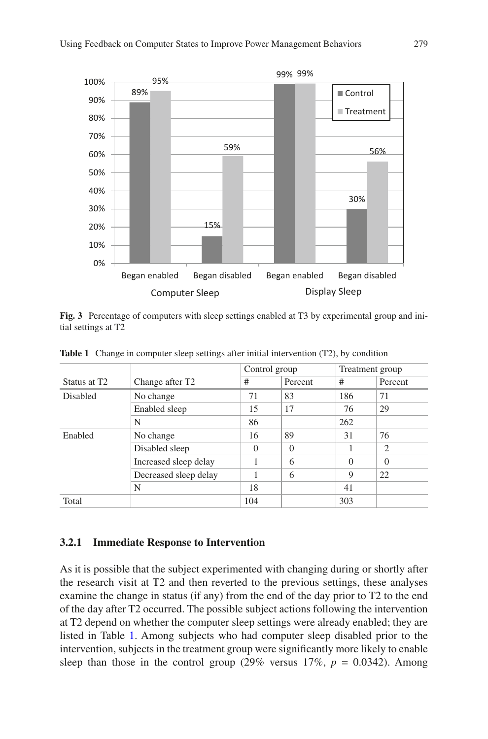<span id="page-8-0"></span>

**Fig. 3** Percentage of computers with sleep settings enabled at T3 by experimental group and initial settings at T2

|                          |                             | Control group |          | Treatment group |                |
|--------------------------|-----------------------------|---------------|----------|-----------------|----------------|
| Status at T <sub>2</sub> | Change after T <sub>2</sub> | #             | Percent  | #               | Percent        |
| <b>Disabled</b>          | No change                   | 71            | 83       | 186             | 71             |
|                          | Enabled sleep               | 15            | 17       | 76              | 29             |
|                          | N                           | 86            |          | 262             |                |
| Enabled                  | No change                   | 16            | 89       | 31              | 76             |
|                          | Disabled sleep              | $\Omega$      | $\theta$ |                 | $\overline{2}$ |
|                          | Increased sleep delay       |               | 6        | $\Omega$        | $\theta$       |
|                          | Decreased sleep delay       |               | 6        | 9               | 22             |
|                          | N                           | 18            |          | 41              |                |
| Total                    |                             | 104           |          | 303             |                |

<span id="page-8-1"></span>**Table 1** Change in computer sleep settings after initial intervention (T2), by condition

#### **3.2.1 Immediate Response to Intervention**

As it is possible that the subject experimented with changing during or shortly after the research visit at T2 and then reverted to the previous settings, these analyses examine the change in status (if any) from the end of the day prior to T2 to the end of the day after T2 occurred. The possible subject actions following the intervention at T2 depend on whether the computer sleep settings were already enabled; they are listed in Table [1](#page-8-1). Among subjects who had computer sleep disabled prior to the intervention, subjects in the treatment group were signifcantly more likely to enable sleep than those in the control group  $(29\% \text{ versus } 17\%, p = 0.0342)$ . Among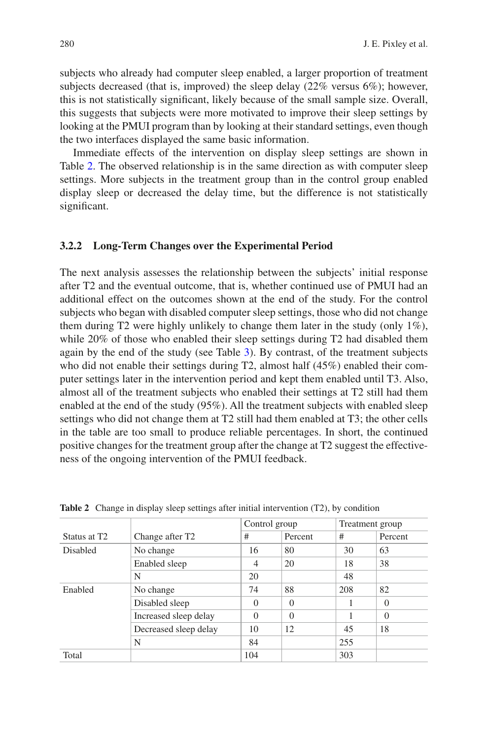subjects who already had computer sleep enabled, a larger proportion of treatment subjects decreased (that is, improved) the sleep delay (22% versus 6%); however, this is not statistically signifcant, likely because of the small sample size. Overall, this suggests that subjects were more motivated to improve their sleep settings by looking at the PMUI program than by looking at their standard settings, even though the two interfaces displayed the same basic information.

Immediate effects of the intervention on display sleep settings are shown in Table [2.](#page-9-0) The observed relationship is in the same direction as with computer sleep settings. More subjects in the treatment group than in the control group enabled display sleep or decreased the delay time, but the difference is not statistically significant.

#### **3.2.2 Long-Term Changes over the Experimental Period**

The next analysis assesses the relationship between the subjects' initial response after T2 and the eventual outcome, that is, whether continued use of PMUI had an additional effect on the outcomes shown at the end of the study. For the control subjects who began with disabled computer sleep settings, those who did not change them during T2 were highly unlikely to change them later in the study (only 1%), while 20% of those who enabled their sleep settings during T2 had disabled them again by the end of the study (see Table [3\)](#page-10-0). By contrast, of the treatment subjects who did not enable their settings during T2, almost half (45%) enabled their computer settings later in the intervention period and kept them enabled until T3. Also, almost all of the treatment subjects who enabled their settings at T2 still had them enabled at the end of the study (95%). All the treatment subjects with enabled sleep settings who did not change them at T2 still had them enabled at T3; the other cells in the table are too small to produce reliable percentages. In short, the continued positive changes for the treatment group after the change at T2 suggest the effectiveness of the ongoing intervention of the PMUI feedback.

|                          |                             |          | Control group |     | Treatment group |  |
|--------------------------|-----------------------------|----------|---------------|-----|-----------------|--|
| Status at T <sub>2</sub> | Change after T <sub>2</sub> | #        | Percent       | #   | Percent         |  |
| <b>Disabled</b>          | No change                   | 16       | 80            | 30  | 63              |  |
|                          | Enabled sleep               | 4        | 20            | 18  | 38              |  |
|                          | N                           | 20       |               | 48  |                 |  |
| Enabled                  | No change                   | 74       | 88            | 208 | 82              |  |
|                          | Disabled sleep              | $\Omega$ | $\Omega$      |     | $\theta$        |  |
|                          | Increased sleep delay       | $\Omega$ | $\theta$      |     | $\theta$        |  |
|                          | Decreased sleep delay       | 10       | 12            | 45  | 18              |  |
|                          | N                           | 84       |               | 255 |                 |  |
| Total                    |                             | 104      |               | 303 |                 |  |

<span id="page-9-0"></span>**Table 2** Change in display sleep settings after initial intervention (T2), by condition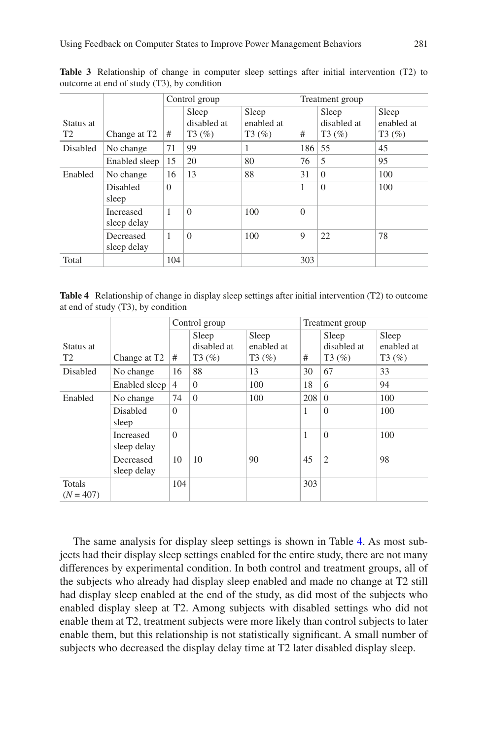|                 |                          | Control group |                               | Treatment group                 |          |                               |                                 |
|-----------------|--------------------------|---------------|-------------------------------|---------------------------------|----------|-------------------------------|---------------------------------|
| Status at<br>T2 | Change at T <sub>2</sub> | #             | Sleep<br>disabled at<br>T3(%) | Sleep<br>enabled at<br>$T3(\%)$ | #        | Sleep<br>disabled at<br>T3(%) | Sleep<br>enabled at<br>$T3(\%)$ |
| <b>Disabled</b> | No change                | 71            | 99                            | 1                               | 186      | 55                            | 45                              |
|                 | Enabled sleep            | 15            | 20                            | 80                              | 76       | 5                             | 95                              |
| Enabled         | No change                | 16            | 13                            | 88                              | 31       | $\Omega$                      | 100                             |
|                 | Disabled<br>sleep        | $\mathbf{0}$  |                               |                                 | 1        | $\Omega$                      | 100                             |
|                 | Increased<br>sleep delay | 1             | $\theta$                      | 100                             | $\Omega$ |                               |                                 |
|                 | Decreased<br>sleep delay | 1             | $\theta$                      | 100                             | 9        | 22                            | 78                              |
| Total           |                          | 104           |                               |                                 | 303      |                               |                                 |

<span id="page-10-0"></span>**Table 3** Relationship of change in computer sleep settings after initial intervention (T2) to outcome at end of study (T3), by condition

<span id="page-10-1"></span>**Table 4** Relationship of change in display sleep settings after initial intervention (T2) to outcome at end of study (T3), by condition

|                       |                                 | Control group  |             | Treatment group |     |                |            |
|-----------------------|---------------------------------|----------------|-------------|-----------------|-----|----------------|------------|
|                       |                                 |                | Sleep       | Sleep           |     | Sleep          | Sleep      |
| Status at             |                                 |                | disabled at | enabled at      |     | disabled at    | enabled at |
| T <sub>2</sub>        | Change at T <sub>2</sub>        | #              | $T3(\%)$    | $T3(\%)$        | #   | $T3(\%)$       | $T3(\%)$   |
| <b>Disabled</b>       | No change                       | 16             | 88          | 13              | 30  | 67             | 33         |
|                       | Enabled sleep                   | $\overline{4}$ | $\Omega$    | 100             | 18  | 6              | 94         |
| Enabled               | No change                       | 74             | $\Omega$    | 100             | 208 | $\Omega$       | 100        |
|                       | <b>Disabled</b><br>sleep        | $\Omega$       |             |                 | 1   | $\overline{0}$ | 100        |
|                       | <b>Increased</b><br>sleep delay | $\Omega$       |             |                 | 1   | $\Omega$       | 100        |
|                       | Decreased<br>sleep delay        | 10             | 10          | 90              | 45  | $\overline{2}$ | 98         |
| Totals<br>$(N = 407)$ |                                 | 104            |             |                 | 303 |                |            |

The same analysis for display sleep settings is shown in Table [4.](#page-10-1) As most subjects had their display sleep settings enabled for the entire study, there are not many differences by experimental condition. In both control and treatment groups, all of the subjects who already had display sleep enabled and made no change at T2 still had display sleep enabled at the end of the study, as did most of the subjects who enabled display sleep at T2. Among subjects with disabled settings who did not enable them at T2, treatment subjects were more likely than control subjects to later enable them, but this relationship is not statistically signifcant. A small number of subjects who decreased the display delay time at T2 later disabled display sleep.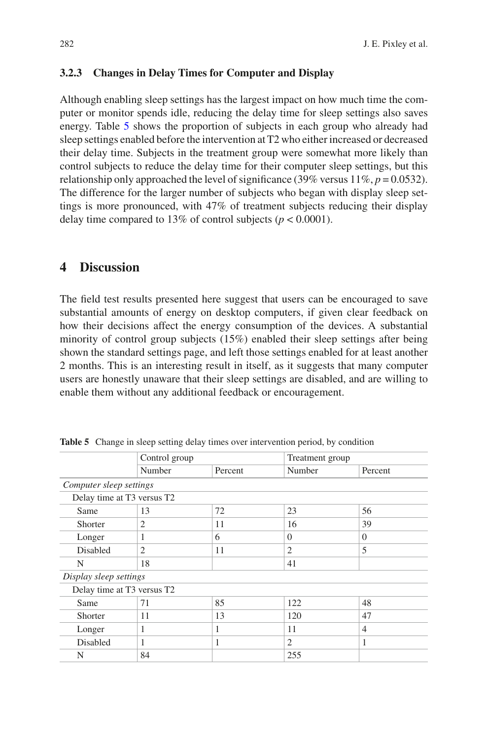#### **3.2.3 Changes in Delay Times for Computer and Display**

Although enabling sleep settings has the largest impact on how much time the computer or monitor spends idle, reducing the delay time for sleep settings also saves energy. Table [5](#page-11-0) shows the proportion of subjects in each group who already had sleep settings enabled before the intervention at T2 who either increased or decreased their delay time. Subjects in the treatment group were somewhat more likely than control subjects to reduce the delay time for their computer sleep settings, but this relationship only approached the level of significance (39% versus  $11\%, p = 0.0532$ ). The difference for the larger number of subjects who began with display sleep settings is more pronounced, with 47% of treatment subjects reducing their display delay time compared to 13% of control subjects ( $p < 0.0001$ ).

### **4 Discussion**

The feld test results presented here suggest that users can be encouraged to save substantial amounts of energy on desktop computers, if given clear feedback on how their decisions affect the energy consumption of the devices. A substantial minority of control group subjects (15%) enabled their sleep settings after being shown the standard settings page, and left those settings enabled for at least another 2 months. This is an interesting result in itself, as it suggests that many computer users are honestly unaware that their sleep settings are disabled, and are willing to enable them without any additional feedback or encouragement.

|                            | Control group  |         | Treatment group |                |
|----------------------------|----------------|---------|-----------------|----------------|
|                            | Number         | Percent | Number          | Percent        |
| Computer sleep settings    |                |         |                 |                |
| Delay time at T3 versus T2 |                |         |                 |                |
| Same                       | 13             | 72      | 23              | 56             |
| Shorter                    | 2              | 11      | 16              | 39             |
| Longer                     | 1              | 6       | $\Omega$        | $\Omega$       |
| Disabled                   | $\overline{2}$ | 11      | $\overline{2}$  | 5              |
| N                          | 18             |         | 41              |                |
| Display sleep settings     |                |         |                 |                |
| Delay time at T3 versus T2 |                |         |                 |                |
| Same                       | 71             | 85      | 122             | 48             |
| Shorter                    | 11             | 13      | 120             | 47             |
| Longer                     | 1              | 1       | 11              | $\overline{4}$ |
| Disabled                   | 1              | 1       | $\overline{c}$  | 1              |
| N                          | 84             |         | 255             |                |

<span id="page-11-0"></span>**Table 5** Change in sleep setting delay times over intervention period, by condition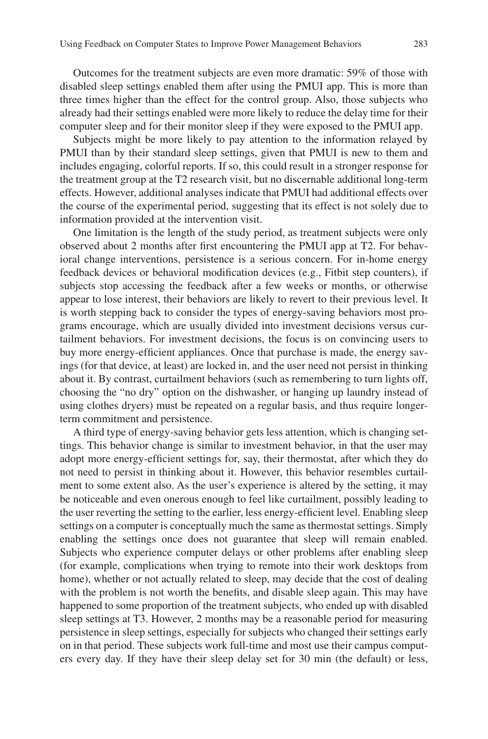Outcomes for the treatment subjects are even more dramatic: 59% of those with disabled sleep settings enabled them after using the PMUI app. This is more than three times higher than the effect for the control group. Also, those subjects who already had their settings enabled were more likely to reduce the delay time for their computer sleep and for their monitor sleep if they were exposed to the PMUI app.

Subjects might be more likely to pay attention to the information relayed by PMUI than by their standard sleep settings, given that PMUI is new to them and includes engaging, colorful reports. If so, this could result in a stronger response for the treatment group at the T2 research visit, but no discernable additional long-term effects. However, additional analyses indicate that PMUI had additional effects over the course of the experimental period, suggesting that its effect is not solely due to information provided at the intervention visit.

One limitation is the length of the study period, as treatment subjects were only observed about 2 months after frst encountering the PMUI app at T2. For behavioral change interventions, persistence is a serious concern. For in-home energy feedback devices or behavioral modifcation devices (e.g., Fitbit step counters), if subjects stop accessing the feedback after a few weeks or months, or otherwise appear to lose interest, their behaviors are likely to revert to their previous level. It is worth stepping back to consider the types of energy-saving behaviors most programs encourage, which are usually divided into investment decisions versus curtailment behaviors. For investment decisions, the focus is on convincing users to buy more energy-effcient appliances. Once that purchase is made, the energy savings (for that device, at least) are locked in, and the user need not persist in thinking about it. By contrast, curtailment behaviors (such as remembering to turn lights off, choosing the "no dry" option on the dishwasher, or hanging up laundry instead of using clothes dryers) must be repeated on a regular basis, and thus require longerterm commitment and persistence.

A third type of energy-saving behavior gets less attention, which is changing settings. This behavior change is similar to investment behavior, in that the user may adopt more energy-effcient settings for, say, their thermostat, after which they do not need to persist in thinking about it. However, this behavior resembles curtailment to some extent also. As the user's experience is altered by the setting, it may be noticeable and even onerous enough to feel like curtailment, possibly leading to the user reverting the setting to the earlier, less energy-effcient level. Enabling sleep settings on a computer is conceptually much the same as thermostat settings. Simply enabling the settings once does not guarantee that sleep will remain enabled. Subjects who experience computer delays or other problems after enabling sleep (for example, complications when trying to remote into their work desktops from home), whether or not actually related to sleep, may decide that the cost of dealing with the problem is not worth the benefts, and disable sleep again. This may have happened to some proportion of the treatment subjects, who ended up with disabled sleep settings at T3. However, 2 months may be a reasonable period for measuring persistence in sleep settings, especially for subjects who changed their settings early on in that period. These subjects work full-time and most use their campus computers every day. If they have their sleep delay set for 30 min (the default) or less,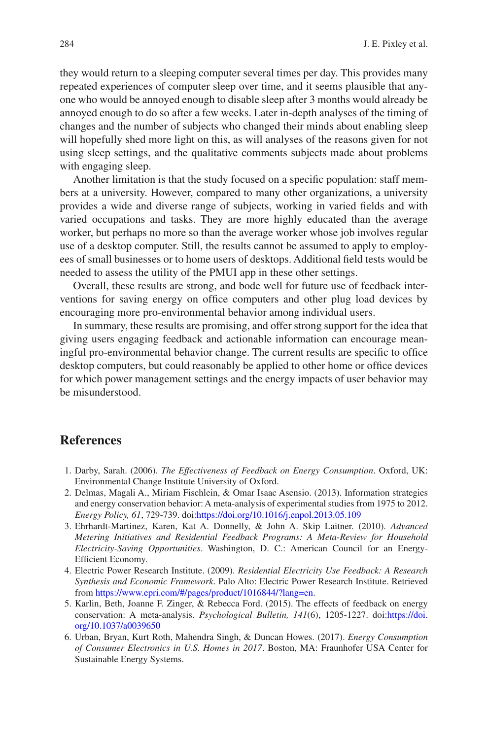they would return to a sleeping computer several times per day. This provides many repeated experiences of computer sleep over time, and it seems plausible that anyone who would be annoyed enough to disable sleep after 3 months would already be annoyed enough to do so after a few weeks. Later in-depth analyses of the timing of changes and the number of subjects who changed their minds about enabling sleep will hopefully shed more light on this, as will analyses of the reasons given for not using sleep settings, and the qualitative comments subjects made about problems with engaging sleep.

Another limitation is that the study focused on a specifc population: staff members at a university. However, compared to many other organizations, a university provides a wide and diverse range of subjects, working in varied felds and with varied occupations and tasks. They are more highly educated than the average worker, but perhaps no more so than the average worker whose job involves regular use of a desktop computer. Still, the results cannot be assumed to apply to employees of small businesses or to home users of desktops. Additional feld tests would be needed to assess the utility of the PMUI app in these other settings.

Overall, these results are strong, and bode well for future use of feedback interventions for saving energy on office computers and other plug load devices by encouraging more pro-environmental behavior among individual users.

In summary, these results are promising, and offer strong support for the idea that giving users engaging feedback and actionable information can encourage meaningful pro-environmental behavior change. The current results are specific to office desktop computers, but could reasonably be applied to other home or offce devices for which power management settings and the energy impacts of user behavior may be misunderstood.

#### **References**

- <span id="page-13-0"></span>1. Darby, Sarah. (2006). *The Effectiveness of Feedback on Energy Consumption*. Oxford, UK: Environmental Change Institute University of Oxford.
- 2. Delmas, Magali A., Miriam Fischlein, & Omar Isaac Asensio. (2013). Information strategies and energy conservation behavior: A meta-analysis of experimental studies from 1975 to 2012. *Energy Policy, 61*, 729-739. doi[:https://doi.org/10.1016/j.enpol.2013.05.109](https://doi.org/10.1016/j.enpol.2013.05.109)
- 3. Ehrhardt-Martinez, Karen, Kat A. Donnelly, & John A. Skip Laitner. (2010). *Advanced Metering Initiatives and Residential Feedback Programs: A Meta-Review for Household Electricity-Saving Opportunities*. Washington, D. C.: American Council for an Energy-Efficient Economy.
- 4. Electric Power Research Institute. (2009). *Residential Electricity Use Feedback: A Research Synthesis and Economic Framework*. Palo Alto: Electric Power Research Institute. Retrieved from<https://www.epri.com/#/pages/product/1016844/?lang=en>.
- <span id="page-13-1"></span>5. Karlin, Beth, Joanne F. Zinger, & Rebecca Ford. (2015). The effects of feedback on energy conservation: A meta-analysis. *Psychological Bulletin, 141*(6), 1205-1227. doi:[https://doi.](https://doi.org/10.1037/a0039650) [org/10.1037/a0039650](https://doi.org/10.1037/a0039650)
- <span id="page-13-2"></span>6. Urban, Bryan, Kurt Roth, Mahendra Singh, & Duncan Howes. (2017). *Energy Consumption of Consumer Electronics in U.S. Homes in 2017*. Boston, MA: Fraunhofer USA Center for Sustainable Energy Systems.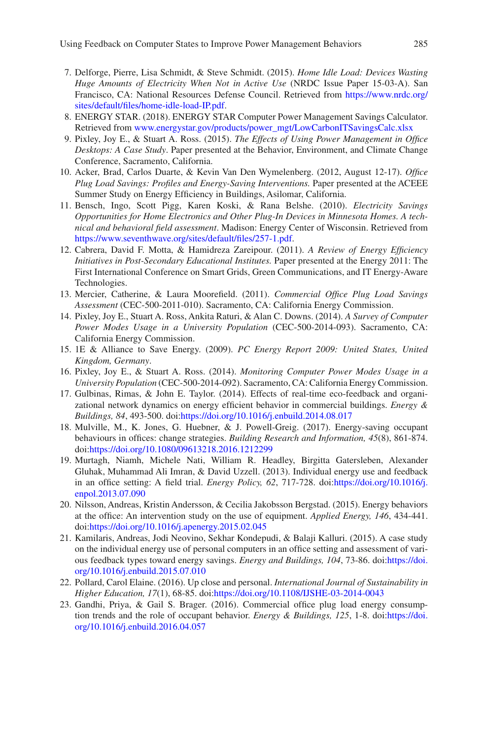- <span id="page-14-0"></span>7. Delforge, Pierre, Lisa Schmidt, & Steve Schmidt. (2015). *Home Idle Load: Devices Wasting Huge Amounts of Electricity When Not in Active Use* (NRDC Issue Paper 15-03-A). San Francisco, CA: National Resources Defense Council. Retrieved from [https://www.nrdc.org/](https://www.nrdc.org/sites/default/files/home-idle-load-IP.pdf) [sites/default/fles/home-idle-load-IP.pdf](https://www.nrdc.org/sites/default/files/home-idle-load-IP.pdf).
- <span id="page-14-1"></span>8. ENERGY STAR. (2018). ENERGY STAR Computer Power Management Savings Calculator. Retrieved from [www.energystar.gov/products/power\\_mgt/LowCarbonITSavingsCalc.xlsx](http://www.energystar.gov/products/power_mgt/LowCarbonITSavingsCalc.xlsx)
- <span id="page-14-2"></span>9. Pixley, Joy E., & Stuart A. Ross. (2015). *The Effects of Using Power Management in Offce Desktops: A Case Study*. Paper presented at the Behavior, Environment, and Climate Change Conference, Sacramento, California.
- <span id="page-14-3"></span>10. Acker, Brad, Carlos Duarte, & Kevin Van Den Wymelenberg. (2012, August 12-17). *Offce Plug Load Savings: Profles and Energy-Saving Interventions.* Paper presented at the ACEEE Summer Study on Energy Efficiency in Buildings, Asilomar, California.
- 11. Bensch, Ingo, Scott Pigg, Karen Koski, & Rana Belshe. (2010). *Electricity Savings Opportunities for Home Electronics and Other Plug-In Devices in Minnesota Homes. A technical and behavioral feld assessment*. Madison: Energy Center of Wisconsin. Retrieved from [https://www.seventhwave.org/sites/default/fles/257-1.pdf](https://www.seventhwave.org/sites/default/files/257-1.pdf).
- 12. Cabrera, David F. Motta, & Hamidreza Zareipour. (2011). *A Review of Energy Effciency Initiatives in Post-Secondary Educational Institutes.* Paper presented at the Energy 2011: The First International Conference on Smart Grids, Green Communications, and IT Energy-Aware Technologies.
- <span id="page-14-4"></span>13. Mercier, Catherine, & Laura Moorefeld. (2011). *Commercial Offce Plug Load Savings Assessment* (CEC-500-2011-010). Sacramento, CA: California Energy Commission.
- <span id="page-14-5"></span>14. Pixley, Joy E., Stuart A. Ross, Ankita Raturi, & Alan C. Downs. (2014). *A Survey of Computer Power Modes Usage in a University Population* (CEC-500-2014-093). Sacramento, CA: California Energy Commission.
- <span id="page-14-6"></span>15. 1E & Alliance to Save Energy. (2009). *PC Energy Report 2009: United States, United Kingdom, Germany*.
- <span id="page-14-7"></span>16. Pixley, Joy E., & Stuart A. Ross. (2014). *Monitoring Computer Power Modes Usage in a University Population* (CEC-500-2014-092). Sacramento, CA: California Energy Commission.
- <span id="page-14-8"></span>17. Gulbinas, Rimas, & John E. Taylor. (2014). Effects of real-time eco-feedback and organizational network dynamics on energy effcient behavior in commercial buildings. *Energy & Buildings, 84*, 493-500. doi:<https://doi.org/10.1016/j.enbuild.2014.08.017>
- 18. Mulville, M., K. Jones, G. Huebner, & J. Powell-Greig. (2017). Energy-saving occupant behaviours in offces: change strategies. *Building Research and Information, 45*(8), 861-874. doi:<https://doi.org/10.1080/09613218.2016.1212299>
- <span id="page-14-9"></span>19. Murtagh, Niamh, Michele Nati, William R. Headley, Birgitta Gatersleben, Alexander Gluhak, Muhammad Ali Imran, & David Uzzell. (2013). Individual energy use and feedback in an offce setting: A feld trial. *Energy Policy, 62*, 717-728. doi:[https://doi.org/10.1016/j.](https://doi.org/10.1016/j.enpol.2013.07.090) [enpol.2013.07.090](https://doi.org/10.1016/j.enpol.2013.07.090)
- <span id="page-14-10"></span>20. Nilsson, Andreas, Kristin Andersson, & Cecilia Jakobsson Bergstad. (2015). Energy behaviors at the offce: An intervention study on the use of equipment. *Applied Energy, 146*, 434-441. doi:<https://doi.org/10.1016/j.apenergy.2015.02.045>
- <span id="page-14-11"></span>21. Kamilaris, Andreas, Jodi Neovino, Sekhar Kondepudi, & Balaji Kalluri. (2015). A case study on the individual energy use of personal computers in an offce setting and assessment of various feedback types toward energy savings. *Energy and Buildings, 104*, 73-86. doi:[https://doi.](https://doi.org/10.1016/j.enbuild.2015.07.010) [org/10.1016/j.enbuild.2015.07.010](https://doi.org/10.1016/j.enbuild.2015.07.010)
- <span id="page-14-12"></span>22. Pollard, Carol Elaine. (2016). Up close and personal. *International Journal of Sustainability in Higher Education, 17*(1), 68-85. doi:<https://doi.org/10.1108/IJSHE-03-2014-0043>
- <span id="page-14-13"></span>23. Gandhi, Priya, & Gail S. Brager. (2016). Commercial offce plug load energy consumption trends and the role of occupant behavior. *Energy & Buildings, 125*, 1-8. doi:[https://doi.](https://doi.org/10.1016/j.enbuild.2016.04.057) [org/10.1016/j.enbuild.2016.04.057](https://doi.org/10.1016/j.enbuild.2016.04.057)